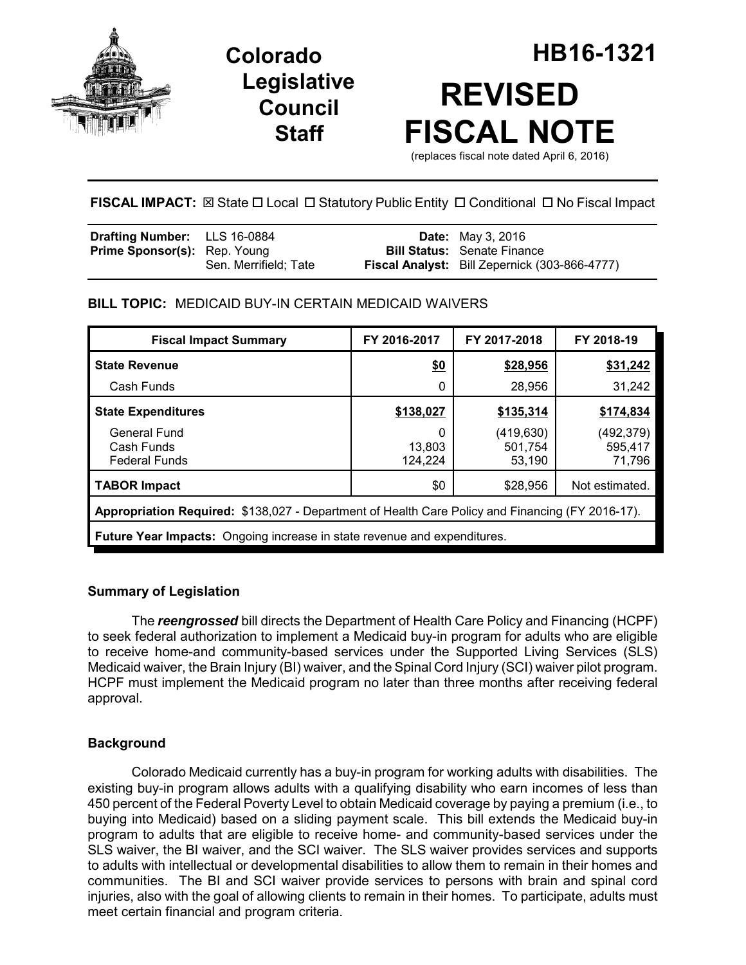

**Legislative Council Staff**



**FISCAL IMPACT:** ⊠ State □ Local □ Statutory Public Entity □ Conditional □ No Fiscal Impact

| <b>Drafting Number:</b> LLS 16-0884 |                       | <b>Date:</b> May 3, 2016                             |
|-------------------------------------|-----------------------|------------------------------------------------------|
| <b>Prime Sponsor(s): Rep. Young</b> |                       | <b>Bill Status:</b> Senate Finance                   |
|                                     | Sen. Merrifield: Tate | <b>Fiscal Analyst:</b> Bill Zepernick (303-866-4777) |

# **BILL TOPIC:** MEDICAID BUY-IN CERTAIN MEDICAID WAIVERS

| <b>Fiscal Impact Summary</b>                                                                     | FY 2016-2017           | FY 2017-2018                   | FY 2018-19                      |
|--------------------------------------------------------------------------------------------------|------------------------|--------------------------------|---------------------------------|
| <b>State Revenue</b>                                                                             | \$0                    | \$28,956                       | \$31,242                        |
| Cash Funds                                                                                       | 0                      | 28,956                         | 31,242                          |
| <b>State Expenditures</b>                                                                        | \$138,027              | \$135,314                      | \$174,834                       |
| <b>General Fund</b><br>Cash Funds<br><b>Federal Funds</b>                                        | 0<br>13,803<br>124,224 | (419,630)<br>501.754<br>53,190 | (492, 379)<br>595,417<br>71,796 |
| <b>TABOR Impact</b>                                                                              | \$0                    | \$28,956                       | Not estimated.                  |
| Appropriation Required: \$138,027 - Department of Health Care Policy and Financing (FY 2016-17). |                        |                                |                                 |
| <b>Future Year Impacts:</b> Ongoing increase in state revenue and expenditures.                  |                        |                                |                                 |

# **Summary of Legislation**

The *reengrossed* bill directs the Department of Health Care Policy and Financing (HCPF) to seek federal authorization to implement a Medicaid buy-in program for adults who are eligible to receive home-and community-based services under the Supported Living Services (SLS) Medicaid waiver, the Brain Injury (BI) waiver, and the Spinal Cord Injury (SCI) waiver pilot program. HCPF must implement the Medicaid program no later than three months after receiving federal approval.

# **Background**

Colorado Medicaid currently has a buy-in program for working adults with disabilities. The existing buy-in program allows adults with a qualifying disability who earn incomes of less than 450 percent of the Federal Poverty Level to obtain Medicaid coverage by paying a premium (i.e., to buying into Medicaid) based on a sliding payment scale. This bill extends the Medicaid buy-in program to adults that are eligible to receive home- and community-based services under the SLS waiver, the BI waiver, and the SCI waiver. The SLS waiver provides services and supports to adults with intellectual or developmental disabilities to allow them to remain in their homes and communities. The BI and SCI waiver provide services to persons with brain and spinal cord injuries, also with the goal of allowing clients to remain in their homes. To participate, adults must meet certain financial and program criteria.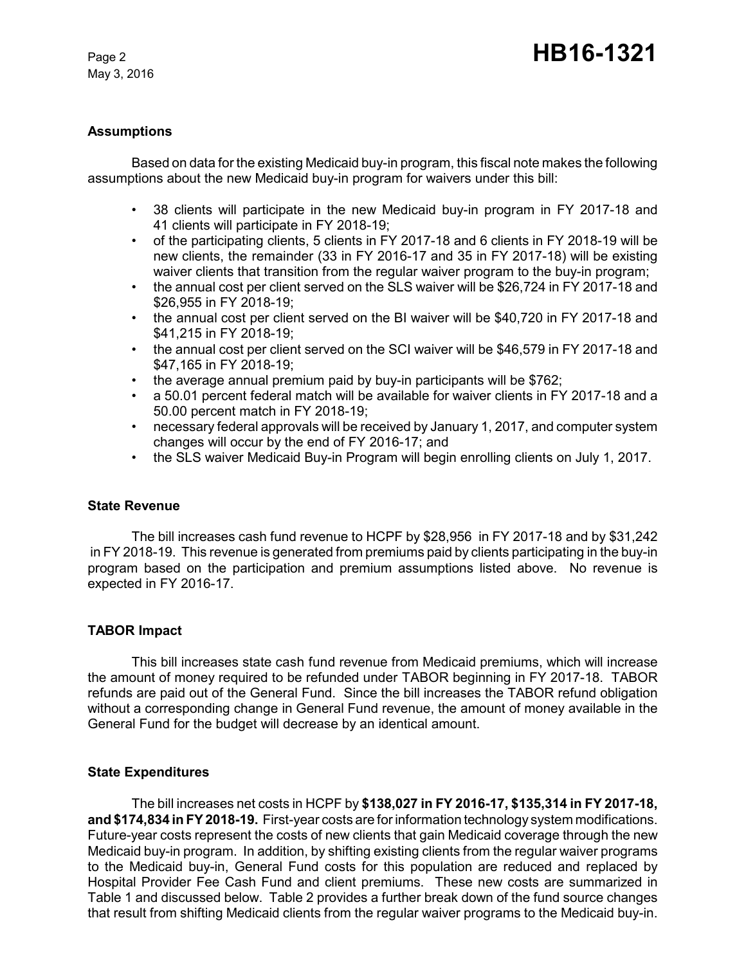May 3, 2016

### **Assumptions**

Based on data for the existing Medicaid buy-in program, this fiscal note makes the following assumptions about the new Medicaid buy-in program for waivers under this bill:

- 38 clients will participate in the new Medicaid buy-in program in FY 2017-18 and 41 clients will participate in FY 2018-19;
- of the participating clients, 5 clients in FY 2017-18 and 6 clients in FY 2018-19 will be new clients, the remainder (33 in FY 2016-17 and 35 in FY 2017-18) will be existing waiver clients that transition from the regular waiver program to the buy-in program;
- the annual cost per client served on the SLS waiver will be \$26,724 in FY 2017-18 and \$26,955 in FY 2018-19;
- the annual cost per client served on the BI waiver will be \$40,720 in FY 2017-18 and \$41,215 in FY 2018-19;
- the annual cost per client served on the SCI waiver will be \$46,579 in FY 2017-18 and \$47,165 in FY 2018-19;
- the average annual premium paid by buy-in participants will be \$762;
- a 50.01 percent federal match will be available for waiver clients in FY 2017-18 and a 50.00 percent match in FY 2018-19;
- necessary federal approvals will be received by January 1, 2017, and computer system changes will occur by the end of FY 2016-17; and
- the SLS waiver Medicaid Buy-in Program will begin enrolling clients on July 1, 2017.

#### **State Revenue**

The bill increases cash fund revenue to HCPF by \$28,956 in FY 2017-18 and by \$31,242 in FY 2018-19. This revenue is generated from premiums paid by clients participating in the buy-in program based on the participation and premium assumptions listed above. No revenue is expected in FY 2016-17.

## **TABOR Impact**

This bill increases state cash fund revenue from Medicaid premiums, which will increase the amount of money required to be refunded under TABOR beginning in FY 2017-18. TABOR refunds are paid out of the General Fund. Since the bill increases the TABOR refund obligation without a corresponding change in General Fund revenue, the amount of money available in the General Fund for the budget will decrease by an identical amount.

#### **State Expenditures**

The bill increases net costs in HCPF by **\$138,027 in FY 2016-17, \$135,314 in FY 2017-18, and \$174,834 in FY 2018-19.** First-year costs are for information technology system modifications. Future-year costs represent the costs of new clients that gain Medicaid coverage through the new Medicaid buy-in program. In addition, by shifting existing clients from the regular waiver programs to the Medicaid buy-in, General Fund costs for this population are reduced and replaced by Hospital Provider Fee Cash Fund and client premiums. These new costs are summarized in Table 1 and discussed below. Table 2 provides a further break down of the fund source changes that result from shifting Medicaid clients from the regular waiver programs to the Medicaid buy-in.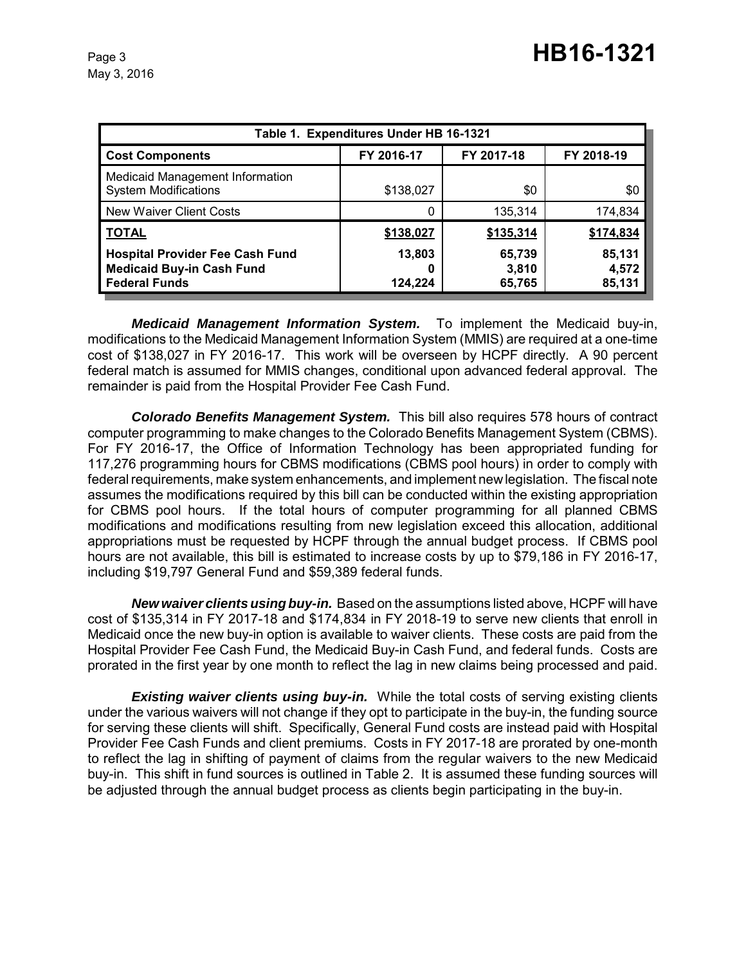| Table 1. Expenditures Under HB 16-1321                                                             |                   |                           |                           |
|----------------------------------------------------------------------------------------------------|-------------------|---------------------------|---------------------------|
| <b>Cost Components</b>                                                                             | FY 2016-17        | FY 2017-18                | FY 2018-19                |
| Medicaid Management Information<br><b>System Modifications</b>                                     | \$138,027         | \$0                       | \$0                       |
| New Waiver Client Costs                                                                            | 0                 | 135,314                   | 174,834                   |
| <b>TOTAL</b>                                                                                       | \$138,027         | \$135,314                 | \$174,834                 |
| <b>Hospital Provider Fee Cash Fund</b><br><b>Medicaid Buy-in Cash Fund</b><br><b>Federal Funds</b> | 13,803<br>124,224 | 65,739<br>3,810<br>65,765 | 85,131<br>4,572<br>85,131 |

*Medicaid Management Information System.* To implement the Medicaid buy-in, modifications to the Medicaid Management Information System (MMIS) are required at a one-time cost of \$138,027 in FY 2016-17. This work will be overseen by HCPF directly. A 90 percent federal match is assumed for MMIS changes, conditional upon advanced federal approval. The remainder is paid from the Hospital Provider Fee Cash Fund.

*Colorado Benefits Management System.* This bill also requires 578 hours of contract computer programming to make changes to the Colorado Benefits Management System (CBMS). For FY 2016-17, the Office of Information Technology has been appropriated funding for 117,276 programming hours for CBMS modifications (CBMS pool hours) in order to comply with federal requirements, make system enhancements, and implement new legislation. The fiscal note assumes the modifications required by this bill can be conducted within the existing appropriation for CBMS pool hours. If the total hours of computer programming for all planned CBMS modifications and modifications resulting from new legislation exceed this allocation, additional appropriations must be requested by HCPF through the annual budget process. If CBMS pool hours are not available, this bill is estimated to increase costs by up to \$79,186 in FY 2016-17, including \$19,797 General Fund and \$59,389 federal funds.

*New waiver clients using buy-in.* Based on the assumptions listed above, HCPF will have cost of \$135,314 in FY 2017-18 and \$174,834 in FY 2018-19 to serve new clients that enroll in Medicaid once the new buy-in option is available to waiver clients. These costs are paid from the Hospital Provider Fee Cash Fund, the Medicaid Buy-in Cash Fund, and federal funds. Costs are prorated in the first year by one month to reflect the lag in new claims being processed and paid.

**Existing waiver clients using buy-in.** While the total costs of serving existing clients under the various waivers will not change if they opt to participate in the buy-in, the funding source for serving these clients will shift. Specifically, General Fund costs are instead paid with Hospital Provider Fee Cash Funds and client premiums. Costs in FY 2017-18 are prorated by one-month to reflect the lag in shifting of payment of claims from the regular waivers to the new Medicaid buy-in. This shift in fund sources is outlined in Table 2. It is assumed these funding sources will be adjusted through the annual budget process as clients begin participating in the buy-in.